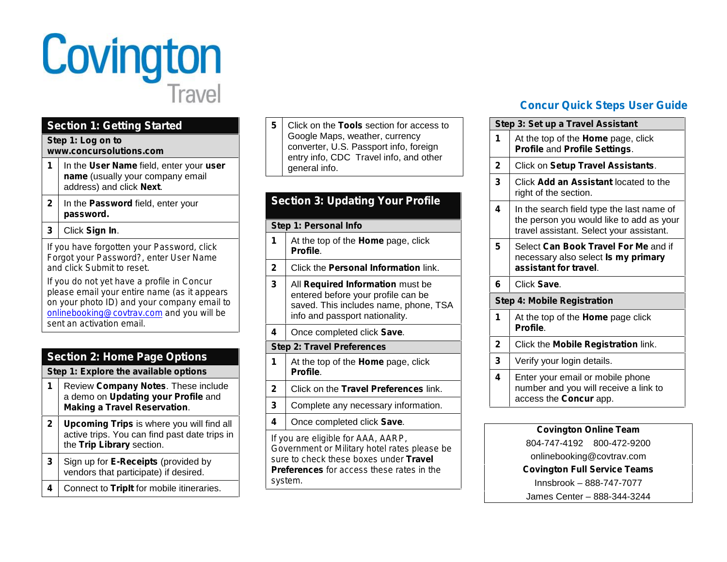

# **Section 1: Getting Started**

#### **Step 1: Log on to www.concursolutions.com**

- **1** In the **User Name** field, enter your *user name* (usually your company email address) and click **Next**.
- **2** In the **Password** field, enter your *password.*

### **3** Click **Sign In**.

*If you have forgotten your Password, click Forgot your Password?, enter User Name and click Submit to reset.*

*If you do not yet have a profile in Concur please email your entire name (as it appears on your photo ID) and your company email to onlinebooking@covtrav.com and you will be sent an activation email.*

| <b>Section 2: Home Page Options</b>   |                                                                                                                                |  |
|---------------------------------------|--------------------------------------------------------------------------------------------------------------------------------|--|
| Step 1: Explore the available options |                                                                                                                                |  |
| 1                                     | Review Company Notes. These include<br>a demo on Updating your Profile and<br><b>Making a Travel Reservation.</b>              |  |
| $\mathbf{2}$                          | <b>Upcoming Trips</b> is where you will find all<br>active trips. You can find past date trips in<br>the Trip Library section. |  |
| 3                                     | Sign up for <b>E-Receipts</b> (provided by<br>vendors that participate) if desired.                                            |  |
|                                       | Connect to Triplt for mobile itineraries.                                                                                      |  |

**5** Click on the **Tools** section for access to Google Maps, weather, currency converter, U.S. Passport info, foreign entry info, CDC Travel info, and other general info.

# **Section 3: Updating Your Profile**

#### **Step 1: Personal Info**

- **1** At the top of the **Home** page, click **Profile**.
- **2** Click the **Personal Information** link.
- **3** All **Required Information** must be entered before your profile can be saved. This includes name, phone, TSA info and passport nationality.
- **4** Once completed click **Save**.

### **Step 2: Travel Preferences**

- **1** At the top of the **Home** page, click **Profile**.
- **2** Click on the **Travel Preferences** link.
- **3** Complete any necessary information.
- **4** Once completed click **Save**.

*If you are eligible for AAA, AARP, Government or Military hotel rates please be sure to check these boxes under Travel Preferences for access these rates in the system.*

# **Concur Quick Steps User Guide**

|              | Step 3: Set up a Travel Assistant                                                                                                 |
|--------------|-----------------------------------------------------------------------------------------------------------------------------------|
| 1            | At the top of the <b>Home</b> page, click<br>Profile and Profile Settings.                                                        |
| 2            | Click on Setup Travel Assistants.                                                                                                 |
| 3            | Click Add an Assistant located to the<br>right of the section.                                                                    |
| 4            | In the search field type the last name of<br>the person you would like to add as your<br>travel assistant. Select your assistant. |
| 5            | Select Can Book Travel For Me and if<br>necessary also select is my primary<br>assistant for travel.                              |
| 6            | Click Save.                                                                                                                       |
|              | <b>Step 4: Mobile Registration</b>                                                                                                |
|              |                                                                                                                                   |
| 1            | At the top of the Home page click<br><b>Profile</b>                                                                               |
| $\mathbf{2}$ | Click the <b>Mobile Registration</b> link.                                                                                        |
| 3            | Verify your login details.                                                                                                        |
| 4            | Enter your email or mobile phone<br>number and you will receive a link to<br>access the Concur app.                               |

#### **Covington Online Team**

804-747-4192 800-472-9200 onlinebooking@covtrav.com **Covington Full Service Teams** Innsbrook – 888-747-7077

James Center – 888-344-3244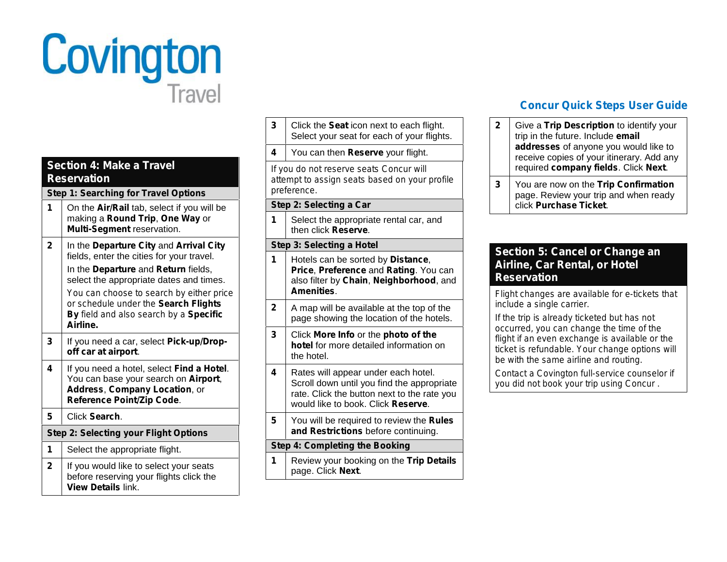

| <b>Section 4: Make a Travel</b><br><b>Reservation</b> |                                                                                                                                                                       |  |
|-------------------------------------------------------|-----------------------------------------------------------------------------------------------------------------------------------------------------------------------|--|
|                                                       | <b>Step 1: Searching for Travel Options</b>                                                                                                                           |  |
| 1                                                     | On the <b>Air/Rail</b> tab, select if you will be<br>making a Round Trip, One Way or<br>Multi-Segment reservation.                                                    |  |
| $\mathbf{2}$                                          | In the Departure City and Arrival City<br>fields, enter the cities for your travel.<br>In the Departure and Return fields,<br>select the appropriate dates and times. |  |
|                                                       | You can choose to search by either price<br>or schedule under the Search Flights<br>By field and also search by a Specific<br>Airline.                                |  |
| 3                                                     | If you need a car, select Pick-up/Drop-<br>off car at airport.                                                                                                        |  |
| 4                                                     | If you need a hotel, select Find a Hotel.<br>You can base your search on Airport,<br>Address, Company Location, or<br>Reference Point/Zip Code.                       |  |
| 5                                                     | Click Search.                                                                                                                                                         |  |
|                                                       | <b>Step 2: Selecting your Flight Options</b>                                                                                                                          |  |
| 1                                                     | Select the appropriate flight.                                                                                                                                        |  |
| $\mathbf{2}$                                          | If you would like to select your seats<br>before reserving your flights click the<br><b>View Details link.</b>                                                        |  |

| 3            | Click the Seat icon next to each flight.<br>Select your seat for each of your flights.                                                                                 |
|--------------|------------------------------------------------------------------------------------------------------------------------------------------------------------------------|
| 4            | You can then Reserve your flight.                                                                                                                                      |
|              | If you do not reserve seats Concur will<br>attempt to assign seats based on your profile<br>preference.                                                                |
|              | Step 2: Selecting a Car                                                                                                                                                |
| 1            | Select the appropriate rental car, and<br>then click Reserve.                                                                                                          |
|              | <b>Step 3: Selecting a Hotel</b>                                                                                                                                       |
| 1            | Hotels can be sorted by Distance,<br>Price, Preference and Rating. You can<br>also filter by Chain, Neighborhood, and<br><b>Amenities</b>                              |
| $\mathbf{2}$ | A map will be available at the top of the<br>page showing the location of the hotels.                                                                                  |
| 3            | Click More Info or the photo of the<br>hotel for more detailed information on<br>the hotel.                                                                            |
| 4            | Rates will appear under each hotel.<br>Scroll down until you find the appropriate<br>rate. Click the button next to the rate you<br>would like to book. Click Reserve. |
| 5            | You will be required to review the Rules<br>and Restrictions before continuing.                                                                                        |
|              | <b>Step 4: Completing the Booking</b>                                                                                                                                  |
| 1            | Review your booking on the Trip Details<br>page. Click Next.                                                                                                           |

# **Concur Quick Steps User Guide**

**2** Give a **Trip Description** to identify your trip in the future. Include **email addresses** of anyone you would like to receive copies of your itinerary. Add any required **company fields**. Click **Next**. **3** You are now on the **Trip Confirmation** page. Review your trip and when ready click **Purchase Ticket**.

### **Section 5: Cancel or Change an Airline, Car Rental, or Hotel Reservation**

*Flight changes are available for e-tickets that include a single carrier.*

*If the trip is already ticketed but has not occurred, you can change the time of the flight if an even exchange is available or the ticket is refundable. Your change options will be with the same airline and routing.*

*Contact a Covington full-service counselor if you did not book your trip using Concur .*